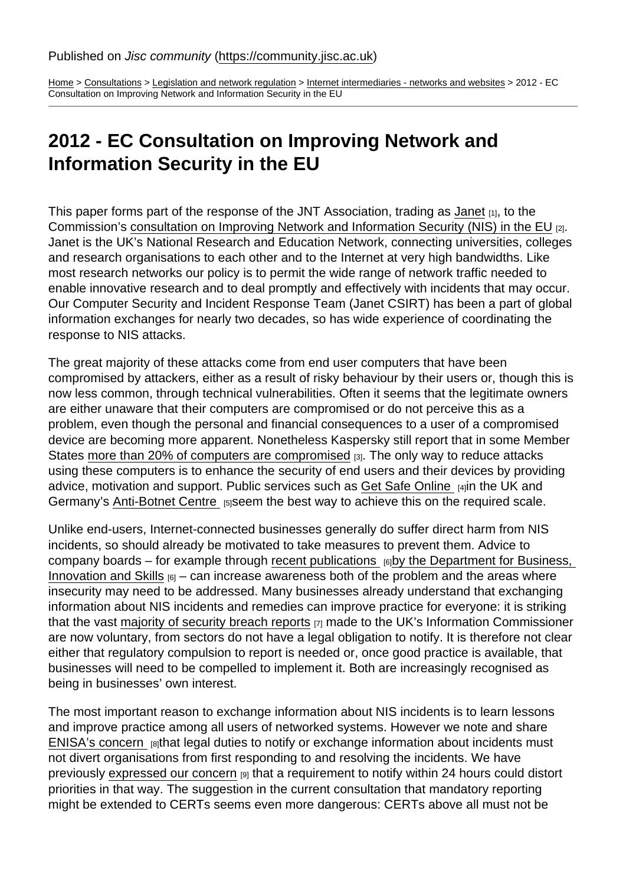[Home](https://community.jisc.ac.uk/) > [Consultations](https://community.jisc.ac.uk/library/janet-tech-net-library/test-page) > [Legislation and network regulation](https://community.jisc.ac.uk/library/consultations/legislation-and-network-regulation) > [Internet intermediaries - networks and websites](https://community.jisc.ac.uk/library/consultations/internet-intermediaries-networks-and-websites) > 2012 - EC Consultation on Improving Network and Information Security in the EU

## 2012 - EC Consultation on Improving Network and Information Security in the EU

This paper forms part of the response of the JNT Association, trading as [Janet](http://www.ja.net/) [1], to the Commission's [consultation on Improving Network and Information Security \(NIS\) in the EU](http://europa.eu/rapid/pressReleasesAction.do?reference=IP/12/818&format=HTML&aged=0&language=EN&guiLanguage=en) [2]. Janet is the UK's National Research and Education Network, connecting universities, colleges and research organisations to each other and to the Internet at very high bandwidths. Like most research networks our policy is to permit the wide range of network traffic needed to enable innovative research and to deal promptly and effectively with incidents that may occur. Our Computer Security and Incident Response Team (Janet CSIRT) has been a part of global information exchanges for nearly two decades, so has wide experience of coordinating the response to NIS attacks.

The great majority of these attacks come from end user computers that have been compromised by attackers, either as a result of risky behaviour by their users or, though this is now less common, through technical vulnerabilities. Often it seems that the legitimate owners are either unaware that their computers are compromised or do not perceive this as a problem, even though the personal and financial consequences to a user of a compromised device are becoming more apparent. Nonetheless Kaspersky still report that in some Member States [more than 20% of computers are compromised](http://www.securelist.com/en/analysis/204792231/IT_Threat_Evolution_Q1_2012) [3]. The only way to reduce attacks using these computers is to enhance the security of end users and their devices by providing advice, motivation and support. Public services such as [Get Safe Online](https://www.getsafeonline.org/) [4]in the UK and Germany's [Anti-Botnet Centre](https://www.botfrei.de/) [5]seem the best way to achieve this on the required scale.

Unlike end-users, Internet-connected businesses generally do suffer direct harm from NIS incidents, so should already be motivated to take measures to prevent them. Advice to company boards – for example through [recent publications](http://www.bis.gov.uk/news/topstories/2012/Aug/cyber-security-for-business)  $_{[6]}$ by the Department for Business, [Innovation and Skills](http://www.bis.gov.uk/news/topstories/2012/Aug/cyber-security-for-business)  $_{[6]}$  – can increase awareness both of the problem and the areas where insecurity may need to be addressed. Many businesses already understand that exchanging information about NIS incidents and remedies can improve practice for everyone: it is striking that the vast [majority of security breach reports](http://www.out-law.com/en/articles/2012/september/ico-reports-increasing-trend-in-self-reported-data-breaches-in-past-five-years/)  $_{[7]}$  made to the UK's Information Commissioner are now voluntary, from sectors do not have a legal obligation to notify. It is therefore not clear either that regulatory compulsion to report is needed or, once good practice is available, that businesses will need to be compelled to implement it. Both are increasingly recognised as being in businesses' own interest.

The most important reason to exchange information about NIS incidents is to learn lessons and improve practice among all users of networked systems. However we note and share [ENISA's concern](https://www.enisa.europa.eu/activities/Resilience-and-CIIP/Incidents-reporting/cyber-incident-reporting-in-the-eu) **[8]that legal duties to notify or exchange information about incidents must** not divert organisations from first responding to and resolving the incidents. We have previously [expressed our concern](https://community.ja.net/library/consultations/2012-ministry-justice-call-evidence-eu-data-protection-proposals) [9] that a requirement to notify within 24 hours could distort priorities in that way. The suggestion in the current consultation that mandatory reporting might be extended to CERTs seems even more dangerous: CERTs above all must not be